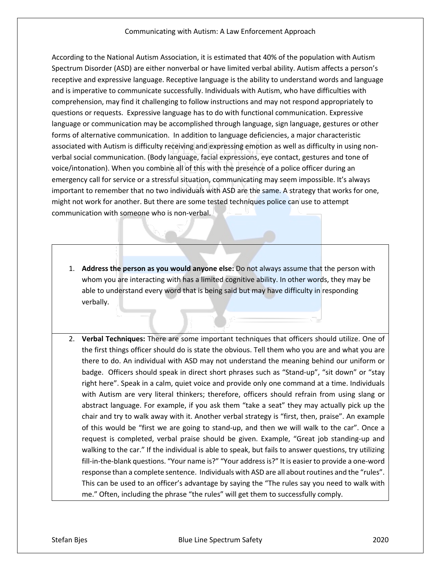## Communicating with Autism: A Law Enforcement Approach

According to the National Autism Association, it is estimated that 40% of the population with Autism Spectrum Disorder (ASD) are either nonverbal or have limited verbal ability. Autism affects a person's receptive and expressive language. Receptive language is the ability to understand words and language and is imperative to communicate successfully. Individuals with Autism, who have difficulties with comprehension, may find it challenging to follow instructions and may not respond appropriately to questions or requests. Expressive language has to do with functional communication. Expressive language or communication may be accomplished through language, sign language, gestures or other forms of alternative communication. In addition to language deficiencies, a major characteristic associated with Autism is difficulty receiving and expressing emotion as well as difficulty in using nonverbal social communication. (Body language, facial expressions, eye contact, gestures and tone of voice/intonation). When you combine all of this with the presence of a police officer during an emergency call for service or a stressful situation, communicating may seem impossible. It's always important to remember that no two individuals with ASD are the same. A strategy that works for one, might not work for another. But there are some tested techniques police can use to attempt communication with someone who is non-verbal.

- 1. **Address the person as you would anyone else:** Do not always assume that the person with whom you are interacting with has a limited cognitive ability. In other words, they may be able to understand every word that is being said but may have difficulty in responding verbally.
- 2. **Verbal Techniques:** There are some important techniques that officers should utilize. One of the first things officer should do is state the obvious. Tell them who you are and what you are there to do. An individual with ASD may not understand the meaning behind our uniform or badge. Officers should speak in direct short phrases such as "Stand-up", "sit down" or "stay right here". Speak in a calm, quiet voice and provide only one command at a time. Individuals with Autism are very literal thinkers; therefore, officers should refrain from using slang or abstract language. For example, if you ask them "take a seat" they may actually pick up the chair and try to walk away with it. Another verbal strategy is "first, then, praise". An example of this would be "first we are going to stand-up, and then we will walk to the car". Once a request is completed, verbal praise should be given. Example, "Great job standing-up and walking to the car." If the individual is able to speak, but fails to answer questions, try utilizing fill-in-the-blank questions. "Your name is?" "Your address is?" It is easier to provide a one-word response than a complete sentence. Individuals with ASD are all about routines and the "rules". This can be used to an officer's advantage by saying the "The rules say you need to walk with me." Often, including the phrase "the rules" will get them to successfully comply.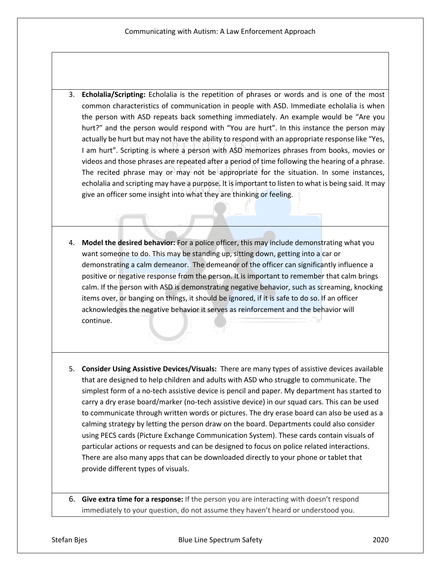- 3. **Echolalia/Scripting:** Echolalia is the repetition of phrases or words and is one of the most common characteristics of communication in people with ASD. Immediate echolalia is when the person with ASD repeats back something immediately. An example would be "Are you hurt?" and the person would respond with "You are hurt". In this instance the person may actually be hurt but may not have the ability to respond with an appropriate response like "Yes, I am hurt". Scripting is where a person with ASD memorizes phrases from books, movies or videos and those phrases are repeated after a period of time following the hearing of a phrase. The recited phrase may or may not be appropriate for the situation. In some instances, echolalia and scripting may have a purpose. It is important to listen to what is being said. It may give an officer some insight into what they are thinking or feeling.
- 4. **Model the desired behavior:** For a police officer, this may include demonstrating what you want someone to do. This may be standing up, sitting down, getting into a car or demonstrating a calm demeanor. The demeanor of the officer can significantly influence a positive or negative response from the person. It is important to remember that calm brings calm. If the person with ASD is demonstrating negative behavior, such as screaming, knocking items over, or banging on things, it should be ignored, if it is safe to do so. If an officer acknowledges the negative behavior it serves as reinforcement and the behavior will continue.
- 5. **Consider Using Assistive Devices/Visuals:** There are many types of assistive devices available that are designed to help children and adults with ASD who struggle to communicate. The simplest form of a no-tech assistive device is pencil and paper. My department has started to carry a dry erase board/marker (no-tech assistive device) in our squad cars. This can be used to communicate through written words or pictures. The dry erase board can also be used as a calming strategy by letting the person draw on the board. Departments could also consider using PECS cards (Picture Exchange Communication System). These cards contain visuals of particular actions or requests and can be designed to focus on police related interactions. There are also many apps that can be downloaded directly to your phone or tablet that provide different types of visuals.

6. **Give extra time for a response:** If the person you are interacting with doesn't respond immediately to your question, do not assume they haven't heard or understood you.